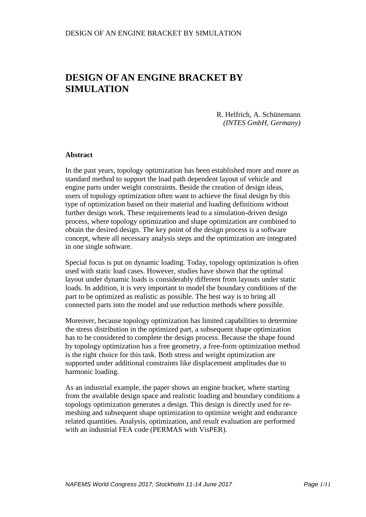R. Helfrich, A. Schünemann *(INTES GmbH, Germany)*

#### **Abstract**

In the past years, topology optimization has been established more and more as standard method to support the load path dependent layout of vehicle and engine parts under weight constraints. Beside the creation of design ideas, users of topology optimization often want to achieve the final design by this type of optimization based on their material and loading definitions without further design work. These requirements lead to a simulation-driven design process, where topology optimization and shape optimization are combined to obtain the desired design. The key point of the design process is a software concept, where all necessary analysis steps and the optimization are integrated in one single software.

Special focus is put on dynamic loading. Today, topology optimization is often used with static load cases. However, studies have shown that the optimal layout under dynamic loads is considerably different from layouts under static loads. In addition, it is very important to model the boundary conditions of the part to be optimized as realistic as possible. The best way is to bring all connected parts into the model and use reduction methods where possible.

Moreover, because topology optimization has limited capabilities to determine the stress distribution in the optimized part, a subsequent shape optimization has to be considered to complete the design process. Because the shape found by topology optimization has a free geometry, a free-form optimization method is the right choice for this task. Both stress and weight optimization are supported under additional constraints like displacement amplitudes due to harmonic loading.

As an industrial example, the paper shows an engine bracket, where starting from the available design space and realistic loading and boundary conditions a topology optimization generates a design. This design is directly used for remeshing and subsequent shape optimization to optimize weight and endurance related quantities. Analysis, optimization, and result evaluation are performed with an industrial FEA code (PERMAS with VisPER).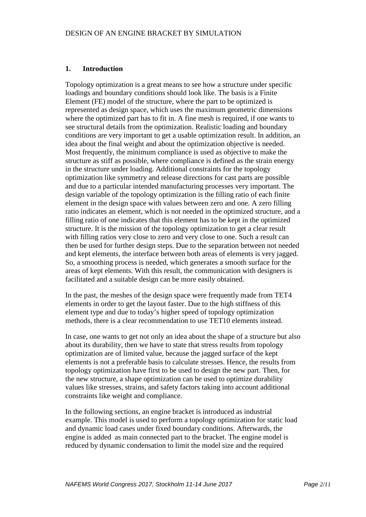## **1. Introduction**

Topology optimization is a great means to see how a structure under specific loadings and boundary conditions should look like. The basis is a Finite Element (FE) model of the structure, where the part to be optimized is represented as design space, which uses the maximum geometric dimensions where the optimized part has to fit in. A fine mesh is required, if one wants to see structural details from the optimization. Realistic loading and boundary conditions are very important to get a usable optimization result. In addition, an idea about the final weight and about the optimization objective is needed. Most frequently, the minimum compliance is used as objective to make the structure as stiff as possible, where compliance is defined as the strain energy in the structure under loading. Additional constraints for the topology optimization like symmetry and release directions for cast parts are possible and due to a particular intended manufacturing processes very important. The design variable of the topology optimization is the filling ratio of each finite element in the design space with values between zero and one. A zero filling ratio indicates an element, which is not needed in the optimized structure, and a filling ratio of one indicates that this element has to be kept in the optimized structure. It is the mission of the topology optimization to get a clear result with filling ratios very close to zero and very close to one. Such a result can then be used for further design steps. Due to the separation between not needed and kept elements, the interface between both areas of elements is very jagged. So, a smoothing process is needed, which generates a smooth surface for the areas of kept elements. With this result, the communication with designers is facilitated and a suitable design can be more easily obtained.

In the past, the meshes of the design space were frequently made from TET4 elements in order to get the layout faster. Due to the high stiffness of this element type and due to today's higher speed of topology optimization methods, there is a clear recommendation to use TET10 elements instead.

In case, one wants to get not only an idea about the shape of a structure but also about its durability, then we have to state that stress results from topology optimization are of limited value, because the jagged surface of the kept elements is not a preferable basis to calculate stresses. Hence, the results from topology optimization have first to be used to design the new part. Then, for the new structure, a shape optimization can be used to optimize durability values like stresses, strains, and safety factors taking into account additional constraints like weight and compliance.

In the following sections, an engine bracket is introduced as industrial example. This model is used to perform a topology optimization for static load and dynamic load cases under fixed boundary conditions. Afterwards, the engine is added as main connected part to the bracket. The engine model is reduced by dynamic condensation to limit the model size and the required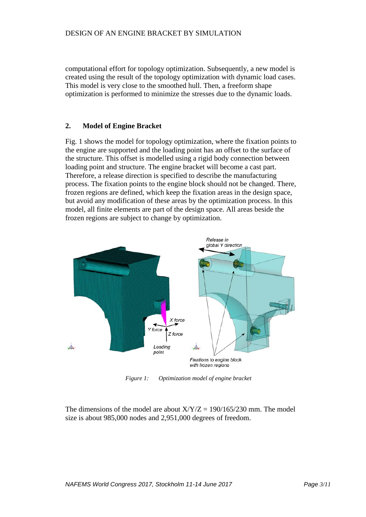computational effort for topology optimization. Subsequently, a new model is created using the result of the topology optimization with dynamic load cases. This model is very close to the smoothed hull. Then, a freeform shape optimization is performed to minimize the stresses due to the dynamic loads.

## **2. Model of Engine Bracket**

Fig. 1 shows the model for topology optimization, where the fixation points to the engine are supported and the loading point has an offset to the surface of the structure. This offset is modelled using a rigid body connection between loading point and structure. The engine bracket will become a cast part. Therefore, a release direction is specified to describe the manufacturing process. The fixation points to the engine block should not be changed. There, frozen regions are defined, which keep the fixation areas in the design space, but avoid any modification of these areas by the optimization process. In this model, all finite elements are part of the design space. All areas beside the frozen regions are subject to change by optimization.



*Figure 1: Optimization model of engine bracket*

The dimensions of the model are about  $X/Y/Z = 190/165/230$  mm. The model size is about 985,000 nodes and 2,951,000 degrees of freedom.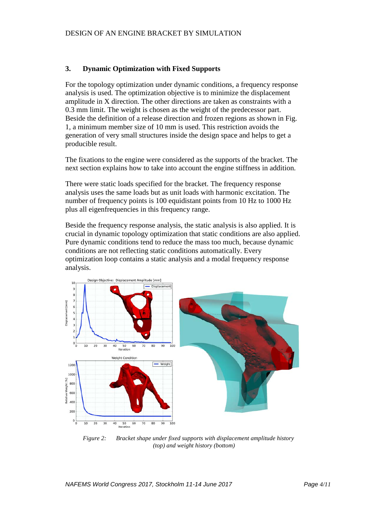### **3. Dynamic Optimization with Fixed Supports**

For the topology optimization under dynamic conditions, a frequency response analysis is used. The optimization objective is to minimize the displacement amplitude in X direction. The other directions are taken as constraints with a 0.3 mm limit. The weight is chosen as the weight of the predecessor part. Beside the definition of a release direction and frozen regions as shown in Fig. 1, a minimum member size of 10 mm is used. This restriction avoids the generation of very small structures inside the design space and helps to get a producible result.

The fixations to the engine were considered as the supports of the bracket. The next section explains how to take into account the engine stiffness in addition.

There were static loads specified for the bracket. The frequency response analysis uses the same loads but as unit loads with harmonic excitation. The number of frequency points is 100 equidistant points from 10 Hz to 1000 Hz plus all eigenfrequencies in this frequency range.

Beside the frequency response analysis, the static analysis is also applied. It is crucial in dynamic topology optimization that static conditions are also applied. Pure dynamic conditions tend to reduce the mass too much, because dynamic conditions are not reflecting static conditions automatically. Every optimization loop contains a static analysis and a modal frequency response analysis.



*Figure 2: Bracket shape under fixed supports with displacement amplitude history (top) and weight history (bottom)*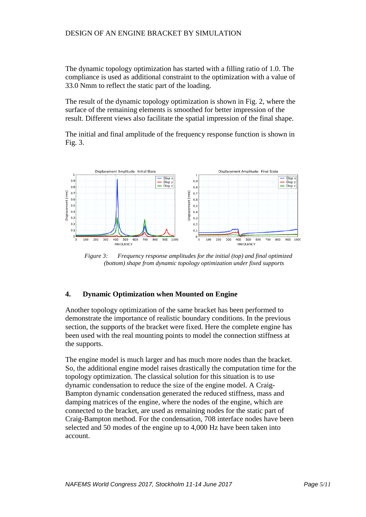The dynamic topology optimization has started with a filling ratio of 1.0. The compliance is used as additional constraint to the optimization with a value of 33.0 Nmm to reflect the static part of the loading.

The result of the dynamic topology optimization is shown in Fig. 2, where the surface of the remaining elements is smoothed for better impression of the result. Different views also facilitate the spatial impression of the final shape.

The initial and final amplitude of the frequency response function is shown in Fig. 3.



*Figure 3: Frequency response amplitudes for the initial (top) and final optimized (bottom) shape from dynamic topology optimization under fixed supports*

## **4. Dynamic Optimization when Mounted on Engine**

Another topology optimization of the same bracket has been performed to demonstrate the importance of realistic boundary conditions. In the previous section, the supports of the bracket were fixed. Here the complete engine has been used with the real mounting points to model the connection stiffness at the supports.

The engine model is much larger and has much more nodes than the bracket. So, the additional engine model raises drastically the computation time for the topology optimization. The classical solution for this situation is to use dynamic condensation to reduce the size of the engine model. A Craig-Bampton dynamic condensation generated the reduced stiffness, mass and damping matrices of the engine, where the nodes of the engine, which are connected to the bracket, are used as remaining nodes for the static part of Craig-Bampton method. For the condensation, 708 interface nodes have been selected and 50 modes of the engine up to 4,000 Hz have been taken into account.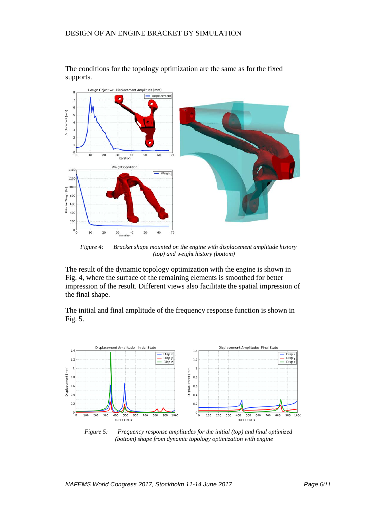

The conditions for the topology optimization are the same as for the fixed supports.

*Figure 4: Bracket shape mounted on the engine with displacement amplitude history (top) and weight history (bottom)*

The result of the dynamic topology optimization with the engine is shown in Fig. 4, where the surface of the remaining elements is smoothed for better impression of the result. Different views also facilitate the spatial impression of the final shape.

The initial and final amplitude of the frequency response function is shown in Fig. 5.



*Figure 5: Frequency response amplitudes for the initial (top) and final optimized (bottom) shape from dynamic topology optimization with engine*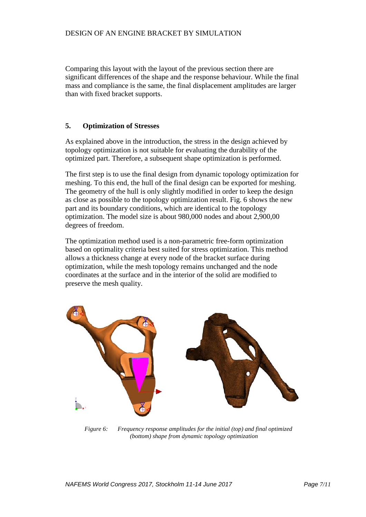Comparing this layout with the layout of the previous section there are significant differences of the shape and the response behaviour. While the final mass and compliance is the same, the final displacement amplitudes are larger than with fixed bracket supports.

## **5. Optimization of Stresses**

As explained above in the introduction, the stress in the design achieved by topology optimization is not suitable for evaluating the durability of the optimized part. Therefore, a subsequent shape optimization is performed.

The first step is to use the final design from dynamic topology optimization for meshing. To this end, the hull of the final design can be exported for meshing. The geometry of the hull is only slightly modified in order to keep the design as close as possible to the topology optimization result. Fig. 6 shows the new part and its boundary conditions, which are identical to the topology optimization. The model size is about 980,000 nodes and about 2,900,00 degrees of freedom.

The optimization method used is a non-parametric free-form optimization based on optimality criteria best suited for stress optimization. This method allows a thickness change at every node of the bracket surface during optimization, while the mesh topology remains unchanged and the node coordinates at the surface and in the interior of the solid are modified to preserve the mesh quality.



*Figure 6: Frequency response amplitudes for the initial (top) and final optimized (bottom) shape from dynamic topology optimization*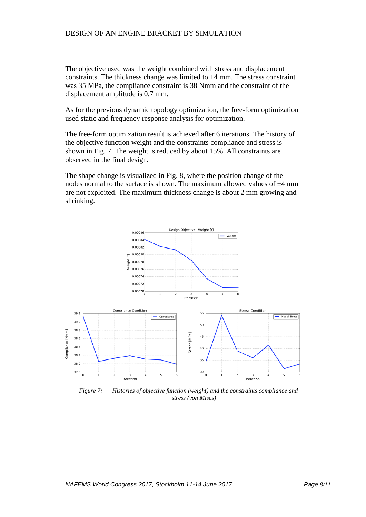The objective used was the weight combined with stress and displacement constraints. The thickness change was limited to  $\pm 4$  mm. The stress constraint was 35 MPa, the compliance constraint is 38 Nmm and the constraint of the displacement amplitude is 0.7 mm.

As for the previous dynamic topology optimization, the free-form optimization used static and frequency response analysis for optimization.

The free-form optimization result is achieved after 6 iterations. The history of the objective function weight and the constraints compliance and stress is shown in Fig. 7. The weight is reduced by about 15%. All constraints are observed in the final design.

The shape change is visualized in Fig. 8, where the position change of the nodes normal to the surface is shown. The maximum allowed values of  $\pm 4$  mm are not exploited. The maximum thickness change is about 2 mm growing and shrinking.



*Figure 7: Histories of objective function (weight) and the constraints compliance and stress (von Mises)*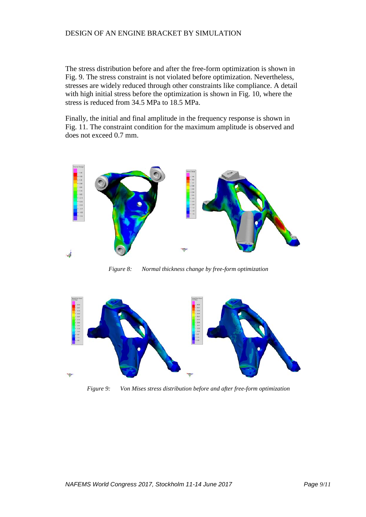The stress distribution before and after the free-form optimization is shown in Fig. 9. The stress constraint is not violated before optimization. Nevertheless, stresses are widely reduced through other constraints like compliance. A detail with high initial stress before the optimization is shown in Fig. 10, where the stress is reduced from 34.5 MPa to 18.5 MPa.

Finally, the initial and final amplitude in the frequency response is shown in Fig. 11. The constraint condition for the maximum amplitude is observed and does not exceed 0.7 mm.



*Figure 8: Normal thickness change by free-form optimization*



*Figure 9: Von Mises stress distribution before and after free-form optimization*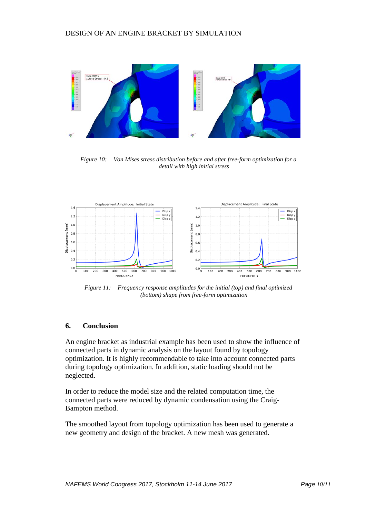

*Figure 10: Von Mises stress distribution before and after free-form optimization for a detail with high initial stress*



*Figure 11: Frequency response amplitudes for the initial (top) and final optimized (bottom) shape from free-form optimization*

## **6. Conclusion**

An engine bracket as industrial example has been used to show the influence of connected parts in dynamic analysis on the layout found by topology optimization. It is highly recommendable to take into account connected parts during topology optimization. In addition, static loading should not be neglected.

In order to reduce the model size and the related computation time, the connected parts were reduced by dynamic condensation using the Craig-Bampton method.

The smoothed layout from topology optimization has been used to generate a new geometry and design of the bracket. A new mesh was generated.